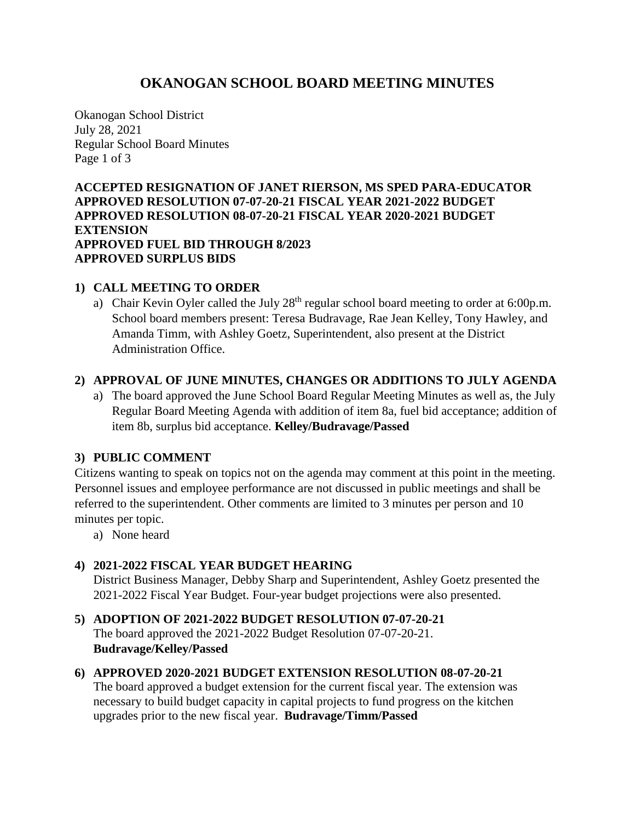# **OKANOGAN SCHOOL BOARD MEETING MINUTES**

Okanogan School District July 28, 2021 Regular School Board Minutes Page 1 of 3

**ACCEPTED RESIGNATION OF JANET RIERSON, MS SPED PARA-EDUCATOR APPROVED RESOLUTION 07-07-20-21 FISCAL YEAR 2021-2022 BUDGET APPROVED RESOLUTION 08-07-20-21 FISCAL YEAR 2020-2021 BUDGET EXTENSION APPROVED FUEL BID THROUGH 8/2023 APPROVED SURPLUS BIDS**

## **1) CALL MEETING TO ORDER**

a) Chair Kevin Oyler called the July  $28<sup>th</sup>$  regular school board meeting to order at 6:00p.m. School board members present: Teresa Budravage, Rae Jean Kelley, Tony Hawley, and Amanda Timm, with Ashley Goetz, Superintendent, also present at the District Administration Office.

#### **2) APPROVAL OF JUNE MINUTES, CHANGES OR ADDITIONS TO JULY AGENDA**

a) The board approved the June School Board Regular Meeting Minutes as well as, the July Regular Board Meeting Agenda with addition of item 8a, fuel bid acceptance; addition of item 8b, surplus bid acceptance. **Kelley/Budravage/Passed**

## **3) PUBLIC COMMENT**

Citizens wanting to speak on topics not on the agenda may comment at this point in the meeting. Personnel issues and employee performance are not discussed in public meetings and shall be referred to the superintendent. Other comments are limited to 3 minutes per person and 10 minutes per topic.

a) None heard

## **4) 2021-2022 FISCAL YEAR BUDGET HEARING**

District Business Manager, Debby Sharp and Superintendent, Ashley Goetz presented the 2021-2022 Fiscal Year Budget. Four-year budget projections were also presented.

- **5) ADOPTION OF 2021-2022 BUDGET RESOLUTION 07-07-20-21** The board approved the 2021-2022 Budget Resolution 07-07-20-21. **Budravage/Kelley/Passed**
- **6) APPROVED 2020-2021 BUDGET EXTENSION RESOLUTION 08-07-20-21** The board approved a budget extension for the current fiscal year. The extension was necessary to build budget capacity in capital projects to fund progress on the kitchen upgrades prior to the new fiscal year. **Budravage/Timm/Passed**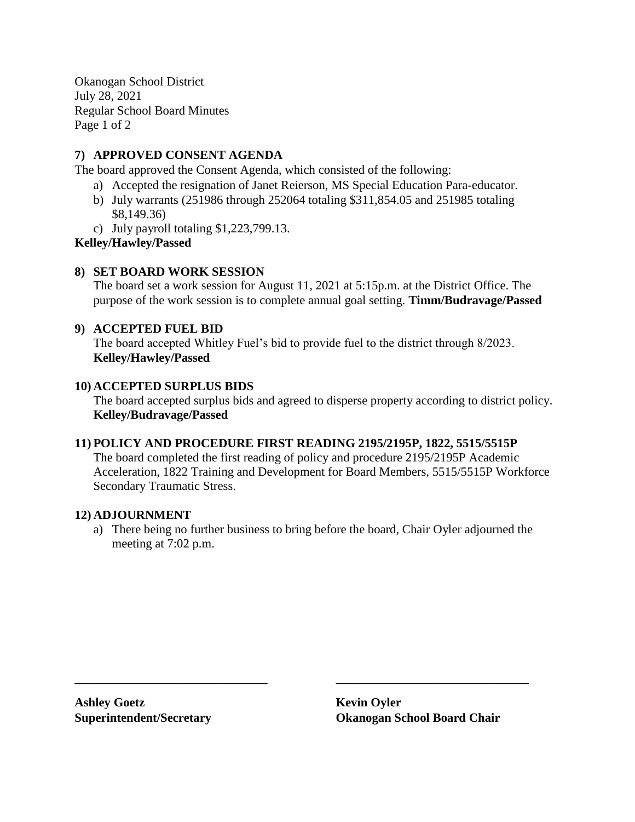Okanogan School District July 28, 2021 Regular School Board Minutes Page 1 of 2

## **7) APPROVED CONSENT AGENDA**

The board approved the Consent Agenda, which consisted of the following:

- a) Accepted the resignation of Janet Reierson, MS Special Education Para-educator.
- b) July warrants (251986 through 252064 totaling \$311,854.05 and 251985 totaling \$8,149.36)
- c) July payroll totaling \$1,223,799.13.

## **Kelley/Hawley/Passed**

## **8) SET BOARD WORK SESSION**

The board set a work session for August 11, 2021 at 5:15p.m. at the District Office. The purpose of the work session is to complete annual goal setting. **Timm/Budravage/Passed**

#### **9) ACCEPTED FUEL BID**

The board accepted Whitley Fuel's bid to provide fuel to the district through 8/2023. **Kelley/Hawley/Passed**

#### **10) ACCEPTED SURPLUS BIDS**

The board accepted surplus bids and agreed to disperse property according to district policy. **Kelley/Budravage/Passed**

## **11) POLICY AND PROCEDURE FIRST READING 2195/2195P, 1822, 5515/5515P**

The board completed the first reading of policy and procedure 2195/2195P Academic Acceleration, 1822 Training and Development for Board Members, 5515/5515P Workforce Secondary Traumatic Stress.

#### **12) ADJOURNMENT**

a) There being no further business to bring before the board, Chair Oyler adjourned the meeting at 7:02 p.m.

**\_\_\_\_\_\_\_\_\_\_\_\_\_\_\_\_\_\_\_\_\_\_\_\_\_\_\_\_\_\_\_ \_\_\_\_\_\_\_\_\_\_\_\_\_\_\_\_\_\_\_\_\_\_\_\_\_\_\_\_\_\_\_**

**Ashley Goetz Kevin Oyler**

**Superintendent/Secretary Okanogan School Board Chair**